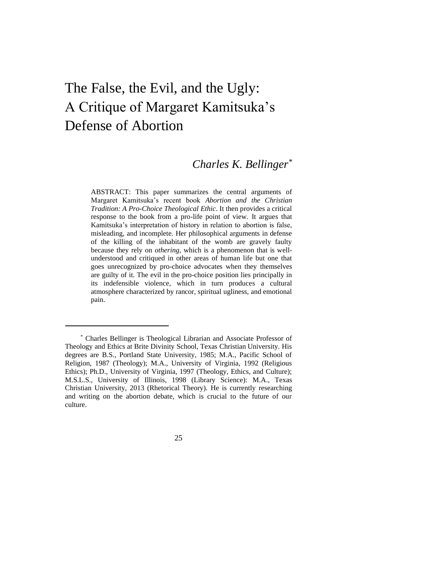# The False, the Evil, and the Ugly: A Critique of Margaret Kamitsuka's Defense of Abortion

## *Charles K. Bellinger\**

ABSTRACT: This paper summarizes the central arguments of Margaret Kamitsuka's recent book *Abortion and the Christian Tradition: A Pro-Choice Theological Ethic*. It then provides a critical response to the book from a pro-life point of view. It argues that Kamitsuka's interpretation of history in relation to abortion is false, misleading, and incomplete. Her philosophical arguments in defense of the killing of the inhabitant of the womb are gravely faulty because they rely on *othering*, which is a phenomenon that is wellunderstood and critiqued in other areas of human life but one that goes unrecognized by pro-choice advocates when they themselves are guilty of it. The evil in the pro-choice position lies principally in its indefensible violence, which in turn produces a cultural atmosphere characterized by rancor, spiritual ugliness, and emotional pain.

<sup>\*</sup> Charles Bellinger is Theological Librarian and Associate Professor of Theology and Ethics at Brite Divinity School, Texas Christian University. His degrees are B.S., Portland State University, 1985; M.A., Pacific School of Religion, 1987 (Theology); M.A., University of Virginia, 1992 (Religious Ethics); Ph.D., University of Virginia, 1997 (Theology, Ethics, and Culture); M.S.L.S., University of Illinois, 1998 (Library Science): M.A., Texas Christian University, 2013 (Rhetorical Theory). He is currently researching and writing on the abortion debate, which is crucial to the future of our culture.

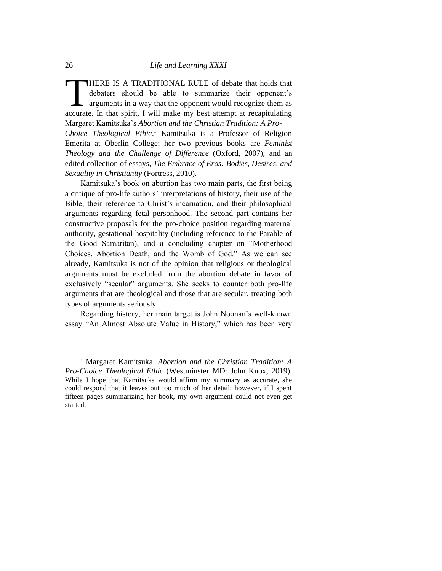HERE IS A TRADITIONAL RULE of debate that holds that debaters should be able to summarize their opponent's arguments in a way that the opponent would recognize them as THERE IS A TRADITIONAL RULE of debate that holds that debaters should be able to summarize their opponent's arguments in a way that the opponent would recognize them as accurate. In that spirit, I will make my best attempt Margaret Kamitsuka's *Abortion and the Christian Tradition: A Pro-Choice Theological Ethic*. <sup>1</sup> Kamitsuka is a Professor of Religion

Emerita at Oberlin College; her two previous books are *Feminist Theology and the Challenge of Difference* (Oxford, 2007), and an edited collection of essays, *The Embrace of Eros: Bodies, Desires, and Sexuality in Christianity* (Fortress, 2010).

Kamitsuka's book on abortion has two main parts, the first being a critique of pro-life authors' interpretations of history, their use of the Bible, their reference to Christ's incarnation, and their philosophical arguments regarding fetal personhood. The second part contains her constructive proposals for the pro-choice position regarding maternal authority, gestational hospitality (including reference to the Parable of the Good Samaritan), and a concluding chapter on "Motherhood Choices, Abortion Death, and the Womb of God." As we can see already, Kamitsuka is not of the opinion that religious or theological arguments must be excluded from the abortion debate in favor of exclusively "secular" arguments. She seeks to counter both pro-life arguments that are theological and those that are secular, treating both types of arguments seriously.

Regarding history, her main target is John Noonan's well-known essay "An Almost Absolute Value in History," which has been very

<sup>1</sup> Margaret Kamitsuka, *Abortion and the Christian Tradition: A Pro-Choice Theological Ethic* (Westminster MD: John Knox, 2019). While I hope that Kamitsuka would affirm my summary as accurate, she could respond that it leaves out too much of her detail; however, if I spent fifteen pages summarizing her book, my own argument could not even get started.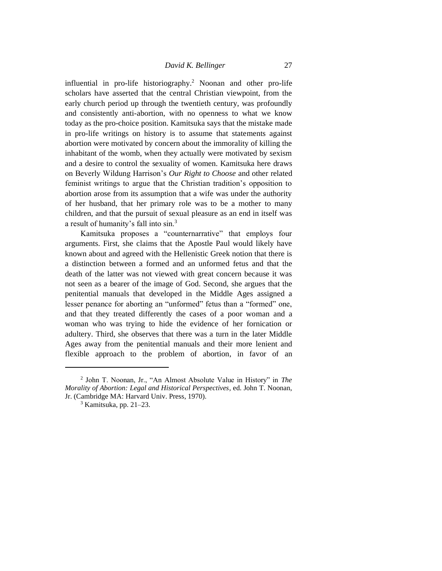influential in pro-life historiography.<sup>2</sup> Noonan and other pro-life scholars have asserted that the central Christian viewpoint, from the early church period up through the twentieth century, was profoundly and consistently anti-abortion, with no openness to what we know today as the pro-choice position. Kamitsuka says that the mistake made in pro-life writings on history is to assume that statements against abortion were motivated by concern about the immorality of killing the inhabitant of the womb, when they actually were motivated by sexism and a desire to control the sexuality of women. Kamitsuka here draws on Beverly Wildung Harrison's *Our Right to Choose* and other related feminist writings to argue that the Christian tradition's opposition to abortion arose from its assumption that a wife was under the authority of her husband, that her primary role was to be a mother to many children, and that the pursuit of sexual pleasure as an end in itself was a result of humanity's fall into sin.<sup>3</sup>

Kamitsuka proposes a "counternarrative" that employs four arguments. First, she claims that the Apostle Paul would likely have known about and agreed with the Hellenistic Greek notion that there is a distinction between a formed and an unformed fetus and that the death of the latter was not viewed with great concern because it was not seen as a bearer of the image of God. Second, she argues that the penitential manuals that developed in the Middle Ages assigned a lesser penance for aborting an "unformed" fetus than a "formed" one, and that they treated differently the cases of a poor woman and a woman who was trying to hide the evidence of her fornication or adultery. Third, she observes that there was a turn in the later Middle Ages away from the penitential manuals and their more lenient and flexible approach to the problem of abortion, in favor of an

<sup>2</sup> John T. Noonan, Jr., "An Almost Absolute Value in History" in *The Morality of Abortion: Legal and Historical Perspectives*, ed. John T. Noonan, Jr. (Cambridge MA: Harvard Univ. Press, 1970).

 $3$  Kamitsuka, pp. 21–23.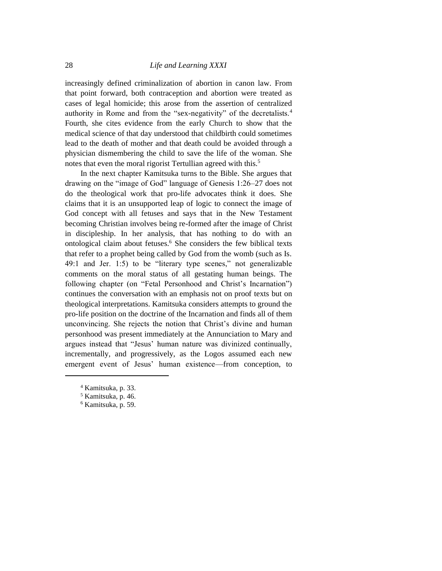increasingly defined criminalization of abortion in canon law. From that point forward, both contraception and abortion were treated as cases of legal homicide; this arose from the assertion of centralized authority in Rome and from the "sex-negativity" of the decretalists.<sup>4</sup> Fourth, she cites evidence from the early Church to show that the medical science of that day understood that childbirth could sometimes lead to the death of mother and that death could be avoided through a physician dismembering the child to save the life of the woman. She notes that even the moral rigorist Tertullian agreed with this.<sup>5</sup>

In the next chapter Kamitsuka turns to the Bible. She argues that drawing on the "image of God" language of Genesis 1:26–27 does not do the theological work that pro-life advocates think it does. She claims that it is an unsupported leap of logic to connect the image of God concept with all fetuses and says that in the New Testament becoming Christian involves being re-formed after the image of Christ in discipleship. In her analysis, that has nothing to do with an ontological claim about fetuses.<sup>6</sup> She considers the few biblical texts that refer to a prophet being called by God from the womb (such as Is. 49:1 and Jer. 1:5) to be "literary type scenes," not generalizable comments on the moral status of all gestating human beings. The following chapter (on "Fetal Personhood and Christ's Incarnation") continues the conversation with an emphasis not on proof texts but on theological interpretations. Kamitsuka considers attempts to ground the pro-life position on the doctrine of the Incarnation and finds all of them unconvincing. She rejects the notion that Christ's divine and human personhood was present immediately at the Annunciation to Mary and argues instead that "Jesus' human nature was divinized continually, incrementally, and progressively, as the Logos assumed each new emergent event of Jesus' human existence—from conception, to

<sup>4</sup> Kamitsuka, p. 33.

<sup>5</sup> Kamitsuka, p. 46.

<sup>6</sup> Kamitsuka, p. 59.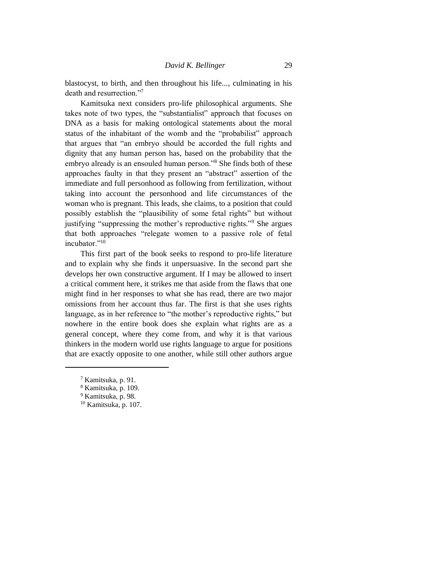blastocyst, to birth, and then throughout his life..., culminating in his death and resurrection."<sup>7</sup>

Kamitsuka next considers pro-life philosophical arguments. She takes note of two types, the "substantialist" approach that focuses on DNA as a basis for making ontological statements about the moral status of the inhabitant of the womb and the "probabilist" approach that argues that "an embryo should be accorded the full rights and dignity that any human person has, based on the probability that the embryo already is an ensouled human person."<sup>8</sup> She finds both of these approaches faulty in that they present an "abstract" assertion of the immediate and full personhood as following from fertilization, without taking into account the personhood and life circumstances of the woman who is pregnant. This leads, she claims, to a position that could possibly establish the "plausibility of some fetal rights" but without justifying "suppressing the mother's reproductive rights."<sup>9</sup> She argues that both approaches "relegate women to a passive role of fetal incubator."<sup>10</sup>

This first part of the book seeks to respond to pro-life literature and to explain why she finds it unpersuasive. In the second part she develops her own constructive argument. If I may be allowed to insert a critical comment here, it strikes me that aside from the flaws that one might find in her responses to what she has read, there are two major omissions from her account thus far. The first is that she uses rights language, as in her reference to "the mother's reproductive rights," but nowhere in the entire book does she explain what rights are as a general concept, where they come from, and why it is that various thinkers in the modern world use rights language to argue for positions that are exactly opposite to one another, while still other authors argue

<sup>7</sup> Kamitsuka, p. 91.

<sup>8</sup> Kamitsuka, p. 109.

<sup>9</sup> Kamitsuka, p. 98.

<sup>10</sup> Kamitsuka, p. 107.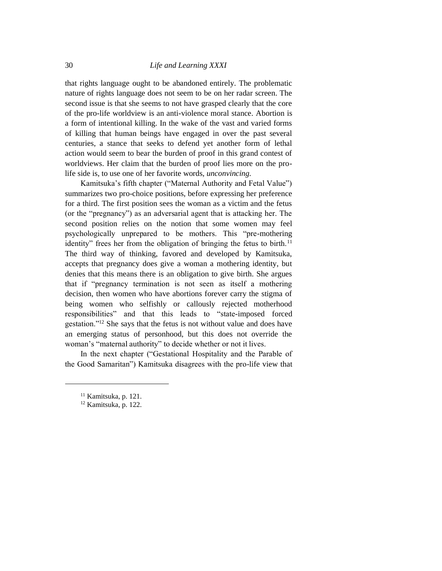that rights language ought to be abandoned entirely. The problematic nature of rights language does not seem to be on her radar screen. The second issue is that she seems to not have grasped clearly that the core of the pro-life worldview is an anti-violence moral stance. Abortion is a form of intentional killing. In the wake of the vast and varied forms of killing that human beings have engaged in over the past several centuries, a stance that seeks to defend yet another form of lethal action would seem to bear the burden of proof in this grand contest of worldviews. Her claim that the burden of proof lies more on the prolife side is, to use one of her favorite words, *unconvincing*.

Kamitsuka's fifth chapter ("Maternal Authority and Fetal Value") summarizes two pro-choice positions, before expressing her preference for a third. The first position sees the woman as a victim and the fetus (or the "pregnancy") as an adversarial agent that is attacking her. The second position relies on the notion that some women may feel psychologically unprepared to be mothers. This "pre-mothering identity" frees her from the obligation of bringing the fetus to birth.<sup>11</sup> The third way of thinking, favored and developed by Kamitsuka, accepts that pregnancy does give a woman a mothering identity, but denies that this means there is an obligation to give birth. She argues that if "pregnancy termination is not seen as itself a mothering decision, then women who have abortions forever carry the stigma of being women who selfishly or callously rejected motherhood responsibilities" and that this leads to "state-imposed forced gestation."<sup>12</sup> She says that the fetus is not without value and does have an emerging status of personhood, but this does not override the woman's "maternal authority" to decide whether or not it lives.

In the next chapter ("Gestational Hospitality and the Parable of the Good Samaritan") Kamitsuka disagrees with the pro-life view that

<sup>&</sup>lt;sup>11</sup> Kamitsuka, p. 121.

<sup>&</sup>lt;sup>12</sup> Kamitsuka, p. 122.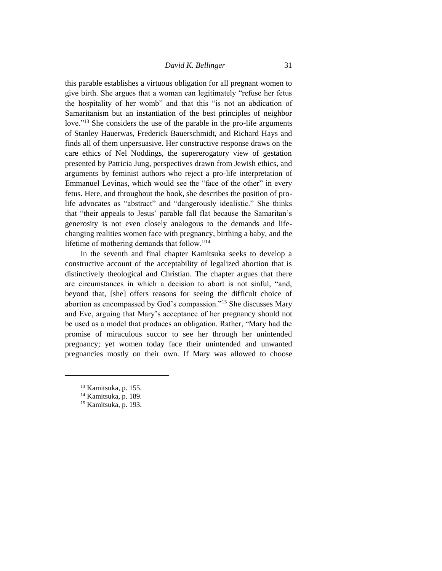this parable establishes a virtuous obligation for all pregnant women to give birth. She argues that a woman can legitimately "refuse her fetus the hospitality of her womb" and that this "is not an abdication of Samaritanism but an instantiation of the best principles of neighbor love."<sup>13</sup> She considers the use of the parable in the pro-life arguments of Stanley Hauerwas, Frederick Bauerschmidt, and Richard Hays and finds all of them unpersuasive. Her constructive response draws on the care ethics of Nel Noddings, the supererogatory view of gestation presented by Patricia Jung, perspectives drawn from Jewish ethics, and arguments by feminist authors who reject a pro-life interpretation of Emmanuel Levinas, which would see the "face of the other" in every fetus. Here, and throughout the book, she describes the position of prolife advocates as "abstract" and "dangerously idealistic." She thinks that "their appeals to Jesus' parable fall flat because the Samaritan's generosity is not even closely analogous to the demands and lifechanging realities women face with pregnancy, birthing a baby, and the lifetime of mothering demands that follow."<sup>14</sup>

In the seventh and final chapter Kamitsuka seeks to develop a constructive account of the acceptability of legalized abortion that is distinctively theological and Christian. The chapter argues that there are circumstances in which a decision to abort is not sinful, "and, beyond that, [she] offers reasons for seeing the difficult choice of abortion as encompassed by God's compassion."<sup>15</sup> She discusses Mary and Eve, arguing that Mary's acceptance of her pregnancy should not be used as a model that produces an obligation. Rather, "Mary had the promise of miraculous succor to see her through her unintended pregnancy; yet women today face their unintended and unwanted pregnancies mostly on their own. If Mary was allowed to choose

<sup>13</sup> Kamitsuka, p. 155.

<sup>&</sup>lt;sup>14</sup> Kamitsuka, p. 189.

<sup>15</sup> Kamitsuka, p. 193.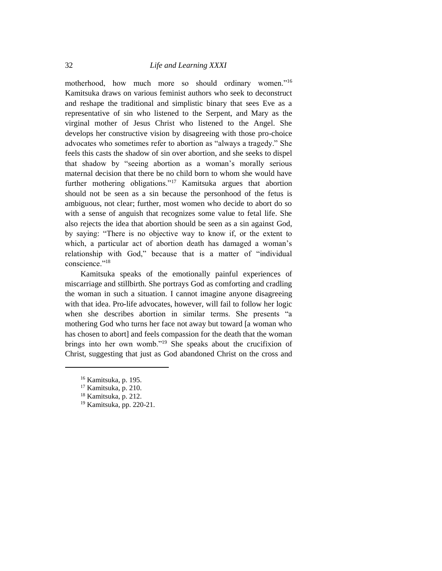motherhood, how much more so should ordinary women."<sup>16</sup> Kamitsuka draws on various feminist authors who seek to deconstruct and reshape the traditional and simplistic binary that sees Eve as a representative of sin who listened to the Serpent, and Mary as the virginal mother of Jesus Christ who listened to the Angel. She develops her constructive vision by disagreeing with those pro-choice advocates who sometimes refer to abortion as "always a tragedy." She feels this casts the shadow of sin over abortion, and she seeks to dispel that shadow by "seeing abortion as a woman's morally serious maternal decision that there be no child born to whom she would have further mothering obligations."<sup>17</sup> Kamitsuka argues that abortion should not be seen as a sin because the personhood of the fetus is ambiguous, not clear; further, most women who decide to abort do so with a sense of anguish that recognizes some value to fetal life. She also rejects the idea that abortion should be seen as a sin against God, by saying: "There is no objective way to know if, or the extent to which, a particular act of abortion death has damaged a woman's relationship with God," because that is a matter of "individual conscience."<sup>18</sup>

Kamitsuka speaks of the emotionally painful experiences of miscarriage and stillbirth. She portrays God as comforting and cradling the woman in such a situation. I cannot imagine anyone disagreeing with that idea. Pro-life advocates, however, will fail to follow her logic when she describes abortion in similar terms. She presents "a mothering God who turns her face not away but toward [a woman who has chosen to abort] and feels compassion for the death that the woman brings into her own womb."<sup>19</sup> She speaks about the crucifixion of Christ, suggesting that just as God abandoned Christ on the cross and

<sup>16</sup> Kamitsuka, p. 195.

<sup>17</sup> Kamitsuka, p. 210.

<sup>18</sup> Kamitsuka, p. 212.

<sup>19</sup> Kamitsuka, pp. 220-21.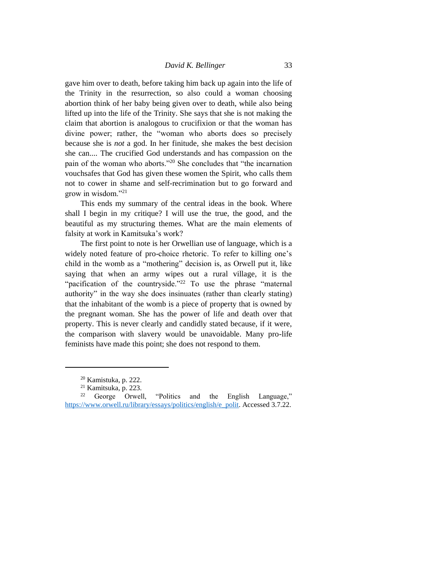gave him over to death, before taking him back up again into the life of the Trinity in the resurrection, so also could a woman choosing abortion think of her baby being given over to death, while also being lifted up into the life of the Trinity. She says that she is not making the claim that abortion is analogous to crucifixion or that the woman has divine power; rather, the "woman who aborts does so precisely because she is *not* a god. In her finitude, she makes the best decision she can.... The crucified God understands and has compassion on the pain of the woman who aborts."<sup>20</sup> She concludes that "the incarnation vouchsafes that God has given these women the Spirit, who calls them not to cower in shame and self-recrimination but to go forward and grow in wisdom."<sup>21</sup>

This ends my summary of the central ideas in the book. Where shall I begin in my critique? I will use the true, the good, and the beautiful as my structuring themes. What are the main elements of falsity at work in Kamitsuka's work?

The first point to note is her Orwellian use of language, which is a widely noted feature of pro-choice rhetoric. To refer to killing one's child in the womb as a "mothering" decision is, as Orwell put it, like saying that when an army wipes out a rural village, it is the "pacification of the countryside."<sup>22</sup> To use the phrase "maternal authority" in the way she does insinuates (rather than clearly stating) that the inhabitant of the womb is a piece of property that is owned by the pregnant woman. She has the power of life and death over that property. This is never clearly and candidly stated because, if it were, the comparison with slavery would be unavoidable. Many pro-life feminists have made this point; she does not respond to them.

<sup>20</sup> Kamistuka, p. 222.

<sup>21</sup> Kamitsuka, p. 223.

<sup>22</sup> George Orwell, "Politics and the English Language," [https://www.orwell.ru/library/essays/politics/english/e\\_polit.](https://www.orwell.ru/library/essays/politics/english/e_polit) Accessed 3.7.22.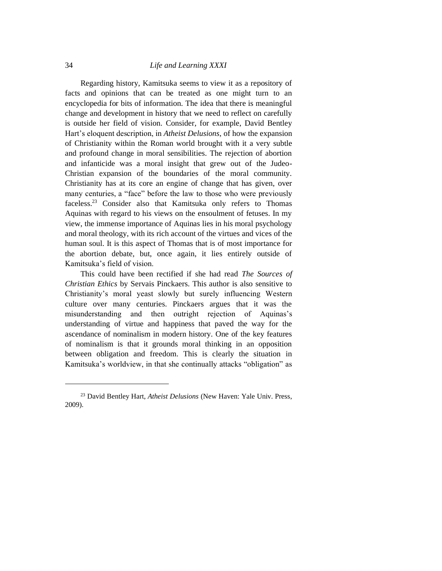Regarding history, Kamitsuka seems to view it as a repository of facts and opinions that can be treated as one might turn to an encyclopedia for bits of information. The idea that there is meaningful change and development in history that we need to reflect on carefully is outside her field of vision. Consider, for example, David Bentley Hart's eloquent description, in *Atheist Delusions*, of how the expansion of Christianity within the Roman world brought with it a very subtle and profound change in moral sensibilities. The rejection of abortion and infanticide was a moral insight that grew out of the Judeo-Christian expansion of the boundaries of the moral community. Christianity has at its core an engine of change that has given, over many centuries, a "face" before the law to those who were previously faceless.<sup>23</sup> Consider also that Kamitsuka only refers to Thomas Aquinas with regard to his views on the ensoulment of fetuses. In my view, the immense importance of Aquinas lies in his moral psychology and moral theology, with its rich account of the virtues and vices of the human soul. It is this aspect of Thomas that is of most importance for the abortion debate, but, once again, it lies entirely outside of Kamitsuka's field of vision.

This could have been rectified if she had read *The Sources of Christian Ethics* by Servais Pinckaers. This author is also sensitive to Christianity's moral yeast slowly but surely influencing Western culture over many centuries. Pinckaers argues that it was the misunderstanding and then outright rejection of Aquinas's understanding of virtue and happiness that paved the way for the ascendance of nominalism in modern history. One of the key features of nominalism is that it grounds moral thinking in an opposition between obligation and freedom. This is clearly the situation in Kamitsuka's worldview, in that she continually attacks "obligation" as

<sup>23</sup> David Bentley Hart, *Atheist Delusions* (New Haven: Yale Univ. Press, 2009).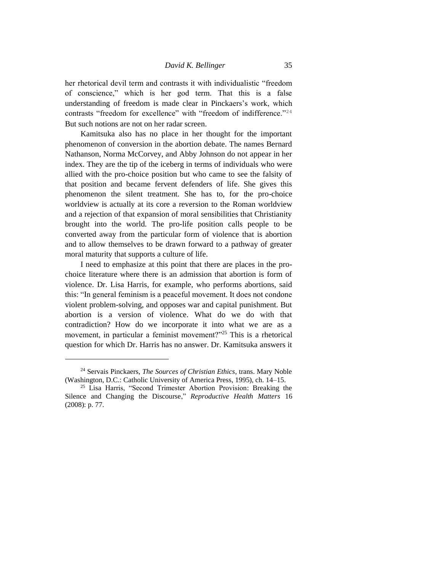her rhetorical devil term and contrasts it with individualistic "freedom of conscience," which is her god term. That this is a false understanding of freedom is made clear in Pinckaers's work, which contrasts "freedom for excellence" with "freedom of indifference."<sup>24</sup> But such notions are not on her radar screen.

Kamitsuka also has no place in her thought for the important phenomenon of conversion in the abortion debate. The names Bernard Nathanson, Norma McCorvey, and Abby Johnson do not appear in her index. They are the tip of the iceberg in terms of individuals who were allied with the pro-choice position but who came to see the falsity of that position and became fervent defenders of life. She gives this phenomenon the silent treatment. She has to, for the pro-choice worldview is actually at its core a reversion to the Roman worldview and a rejection of that expansion of moral sensibilities that Christianity brought into the world. The pro-life position calls people to be converted away from the particular form of violence that is abortion and to allow themselves to be drawn forward to a pathway of greater moral maturity that supports a culture of life.

I need to emphasize at this point that there are places in the prochoice literature where there is an admission that abortion is form of violence. Dr. Lisa Harris, for example, who performs abortions, said this: "In general feminism is a peaceful movement. It does not condone violent problem-solving, and opposes war and capital punishment. But abortion is a version of violence. What do we do with that contradiction? How do we incorporate it into what we are as a movement, in particular a feminist movement?"<sup>25</sup> This is a rhetorical question for which Dr. Harris has no answer. Dr. Kamitsuka answers it

<sup>24</sup> Servais Pinckaers, *The Sources of Christian Ethics*, trans. Mary Noble (Washington, D.C.: Catholic University of America Press, 1995), ch. 14–15.

<sup>25</sup> Lisa Harris, "Second Trimester Abortion Provision: Breaking the Silence and Changing the Discourse," *Reproductive Health Matters* 16 (2008): p. 77.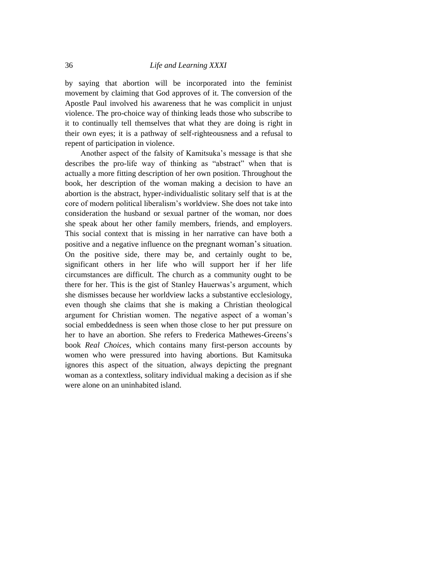by saying that abortion will be incorporated into the feminist movement by claiming that God approves of it. The conversion of the Apostle Paul involved his awareness that he was complicit in unjust violence. The pro-choice way of thinking leads those who subscribe to it to continually tell themselves that what they are doing is right in their own eyes; it is a pathway of self-righteousness and a refusal to repent of participation in violence.

Another aspect of the falsity of Kamitsuka's message is that she describes the pro-life way of thinking as "abstract" when that is actually a more fitting description of her own position. Throughout the book, her description of the woman making a decision to have an abortion is the abstract, hyper-individualistic solitary self that is at the core of modern political liberalism's worldview. She does not take into consideration the husband or sexual partner of the woman, nor does she speak about her other family members, friends, and employers. This social context that is missing in her narrative can have both a positive and a negative influence on the pregnant woman's situation. On the positive side, there may be, and certainly ought to be, significant others in her life who will support her if her life circumstances are difficult. The church as a community ought to be there for her. This is the gist of Stanley Hauerwas's argument, which she dismisses because her worldview lacks a substantive ecclesiology, even though she claims that she is making a Christian theological argument for Christian women. The negative aspect of a woman's social embeddedness is seen when those close to her put pressure on her to have an abortion. She refers to Frederica Mathewes-Greens's book *Real Choices*, which contains many first-person accounts by women who were pressured into having abortions. But Kamitsuka ignores this aspect of the situation, always depicting the pregnant woman as a contextless, solitary individual making a decision as if she were alone on an uninhabited island.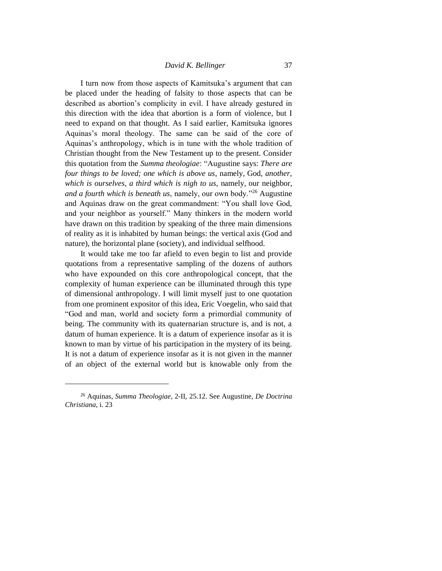I turn now from those aspects of Kamitsuka's argument that can be placed under the heading of falsity to those aspects that can be described as abortion's complicity in evil. I have already gestured in this direction with the idea that abortion is a form of violence, but I need to expand on that thought. As I said earlier, Kamitsuka ignores Aquinas's moral theology. The same can be said of the core of Aquinas's anthropology, which is in tune with the whole tradition of Christian thought from the New Testament up to the present. Consider this quotation from the *Summa theologiae*: "Augustine says: *There are four things to be loved; one which is above us*, namely, God, *another, which is ourselves, a third which is nigh to us*, namely, our neighbor, *and a fourth which is beneath us*, namely, our own body."<sup>26</sup> Augustine and Aquinas draw on the great commandment: "You shall love God, and your neighbor as yourself." Many thinkers in the modern world have drawn on this tradition by speaking of the three main dimensions of reality as it is inhabited by human beings: the vertical axis (God and nature), the horizontal plane (society), and individual selfhood.

It would take me too far afield to even begin to list and provide quotations from a representative sampling of the dozens of authors who have expounded on this core anthropological concept, that the complexity of human experience can be illuminated through this type of dimensional anthropology. I will limit myself just to one quotation from one prominent expositor of this idea, Eric Voegelin, who said that "God and man, world and society form a primordial community of being. The community with its quaternarian structure is, and is not, a datum of human experience. It is a datum of experience insofar as it is known to man by virtue of his participation in the mystery of its being. It is not a datum of experience insofar as it is not given in the manner of an object of the external world but is knowable only from the

<sup>26</sup> Aquinas, *Summa Theologiae*, 2-II, 25.12. See Augustine, *De Doctrina Christiana*, i. 23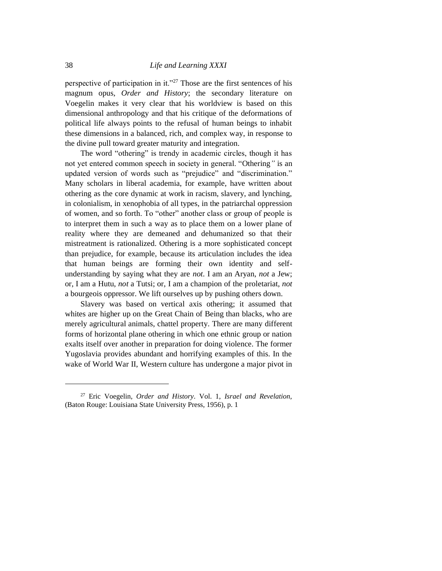perspective of participation in it."<sup>27</sup> Those are the first sentences of his magnum opus, *Order and History*; the secondary literature on Voegelin makes it very clear that his worldview is based on this dimensional anthropology and that his critique of the deformations of political life always points to the refusal of human beings to inhabit these dimensions in a balanced, rich, and complex way, in response to the divine pull toward greater maturity and integration.

The word "othering" is trendy in academic circles, though it has not yet entered common speech in society in general. "Othering*"* is an updated version of words such as "prejudice" and "discrimination." Many scholars in liberal academia, for example, have written about othering as the core dynamic at work in racism, slavery, and lynching, in colonialism, in xenophobia of all types, in the patriarchal oppression of women, and so forth. To "other" another class or group of people is to interpret them in such a way as to place them on a lower plane of reality where they are demeaned and dehumanized so that their mistreatment is rationalized. Othering is a more sophisticated concept than prejudice, for example, because its articulation includes the idea that human beings are forming their own identity and selfunderstanding by saying what they are *not*. I am an Aryan, *not* a Jew; or, I am a Hutu, *not* a Tutsi; or, I am a champion of the proletariat, *not* a bourgeois oppressor. We lift ourselves up by pushing others down.

Slavery was based on vertical axis othering; it assumed that whites are higher up on the Great Chain of Being than blacks, who are merely agricultural animals, chattel property. There are many different forms of horizontal plane othering in which one ethnic group or nation exalts itself over another in preparation for doing violence. The former Yugoslavia provides abundant and horrifying examples of this. In the wake of World War II, Western culture has undergone a major pivot in

<sup>27</sup> Eric Voegelin, *Order and History*. Vol. 1, *Israel and Revelation*, (Baton Rouge: Louisiana State University Press, 1956), p. 1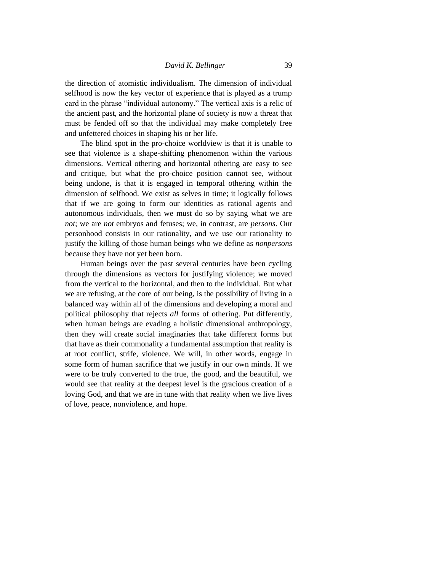the direction of atomistic individualism. The dimension of individual selfhood is now the key vector of experience that is played as a trump card in the phrase "individual autonomy." The vertical axis is a relic of the ancient past, and the horizontal plane of society is now a threat that must be fended off so that the individual may make completely free and unfettered choices in shaping his or her life.

The blind spot in the pro-choice worldview is that it is unable to see that violence is a shape-shifting phenomenon within the various dimensions. Vertical othering and horizontal othering are easy to see and critique, but what the pro-choice position cannot see, without being undone, is that it is engaged in temporal othering within the dimension of selfhood. We exist as selves in time; it logically follows that if we are going to form our identities as rational agents and autonomous individuals, then we must do so by saying what we are *not*; we are *not* embryos and fetuses; we, in contrast, are *persons*. Our personhood consists in our rationality, and we use our rationality to justify the killing of those human beings who we define as *nonpersons* because they have not yet been born.

Human beings over the past several centuries have been cycling through the dimensions as vectors for justifying violence; we moved from the vertical to the horizontal, and then to the individual. But what we are refusing, at the core of our being, is the possibility of living in a balanced way within all of the dimensions and developing a moral and political philosophy that rejects *all* forms of othering. Put differently, when human beings are evading a holistic dimensional anthropology, then they will create social imaginaries that take different forms but that have as their commonality a fundamental assumption that reality is at root conflict, strife, violence. We will, in other words, engage in some form of human sacrifice that we justify in our own minds. If we were to be truly converted to the true, the good, and the beautiful, we would see that reality at the deepest level is the gracious creation of a loving God, and that we are in tune with that reality when we live lives of love, peace, nonviolence, and hope.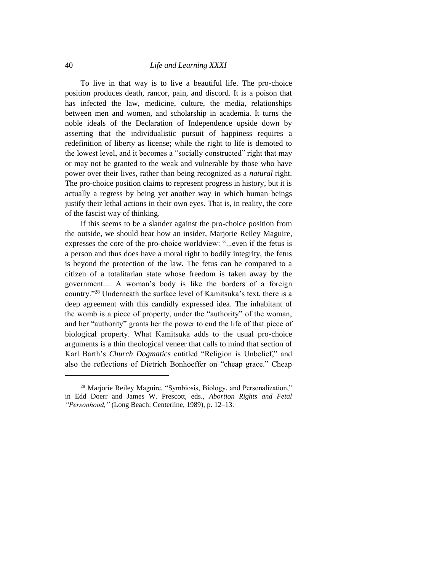To live in that way is to live a beautiful life. The pro-choice position produces death, rancor, pain, and discord. It is a poison that has infected the law, medicine, culture, the media, relationships between men and women, and scholarship in academia. It turns the noble ideals of the Declaration of Independence upside down by asserting that the individualistic pursuit of happiness requires a redefinition of liberty as license; while the right to life is demoted to the lowest level, and it becomes a "socially constructed" right that may or may not be granted to the weak and vulnerable by those who have power over their lives, rather than being recognized as a *natural* right. The pro-choice position claims to represent progress in history, but it is actually a regress by being yet another way in which human beings justify their lethal actions in their own eyes. That is, in reality, the core of the fascist way of thinking.

If this seems to be a slander against the pro-choice position from the outside, we should hear how an insider, Marjorie Reiley Maguire, expresses the core of the pro-choice worldview: "...even if the fetus is a person and thus does have a moral right to bodily integrity, the fetus is beyond the protection of the law. The fetus can be compared to a citizen of a totalitarian state whose freedom is taken away by the government.... A woman's body is like the borders of a foreign country."<sup>28</sup> Underneath the surface level of Kamitsuka's text, there is a deep agreement with this candidly expressed idea. The inhabitant of the womb is a piece of property, under the "authority" of the woman, and her "authority" grants her the power to end the life of that piece of biological property. What Kamitsuka adds to the usual pro-choice arguments is a thin theological veneer that calls to mind that section of Karl Barth's *Church Dogmatics* entitled "Religion is Unbelief," and also the reflections of Dietrich Bonhoeffer on "cheap grace." Cheap

<sup>28</sup> Marjorie Reiley Maguire, "Symbiosis, Biology, and Personalization," in Edd Doerr and James W. Prescott, eds., *Abortion Rights and Fetal "Personhood,"* (Long Beach: Centerline, 1989), p. 12–13.